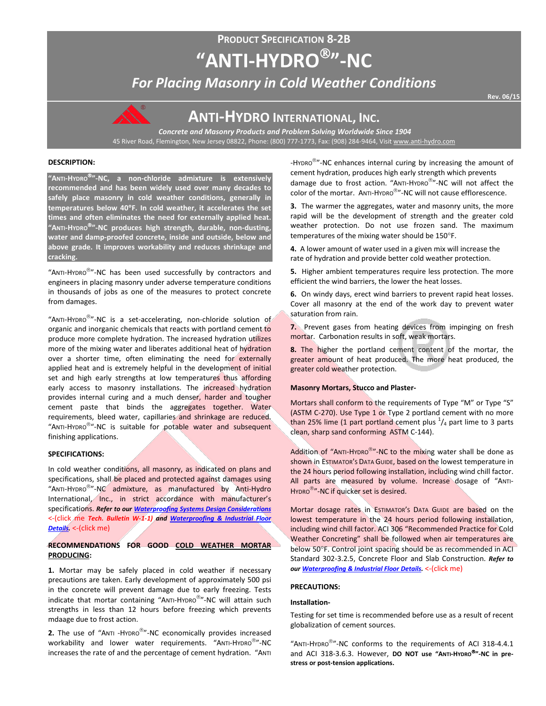# **PRODUCT SPECIFICATION 8-2B "ANTI-HYDRO"-NC**

*For Placing Masonry in Cold Weather Conditions*



## **ANTI-HYDRO INTERNATIONAL, INC.**

*Concrete and Masonry Products and Problem Solving Worldwide Since 1904* 45 River Road, Flemington, New Jersey 08822, Phone: (800) 777-1773, Fax: (908) 284-9464, Visi[t www.anti-hydro.com](http://www.anti-hydro.com/)

#### **DESCRIPTION:**

**"ANTI-HYDRO"-NC, a non-chloride admixture is extensively recommended and has been widely used over many decades to safely place masonry in cold weather conditions, generally in temperatures below 40**°**F. In cold weather, it accelerates the set times and often eliminates the need for externally applied heat. "ANTI-HYDRO"-NC produces high strength, durable, non-dusting, water and damp-proofed concrete, inside and outside, below and above grade. It improves workability and reduces shrinkage and cracking.**

"ANTI-HYDRO<sup>®</sup>"-NC has been used successfully by contractors and engineers in placing masonry under adverse temperature conditions in thousands of jobs as one of the measures to protect concrete from damages.

"ANTI-HYDRO $^{\circledR}$ "-NC is a set-accelerating, non-chloride solution of organic and inorganic chemicals that reacts with portland cement to produce more complete hydration. The increased hydration utilizes more of the mixing water and liberates additional heat of hydration over a shorter time, often eliminating the need for externally applied heat and is extremely helpful in the development of initial set and high early strengths at low temperatures thus affording early access to masonry installations. The increased hydration provides internal curing and a much denser, harder and tougher cement paste that binds the aggregates together. Water requirements, bleed water, capillaries and shrinkage are reduced. "ANTI-HYDRO<sup>®</sup>"-NC is suitable for potable water and subsequent finishing applications.

#### **SPECIFICATIONS:**

In cold weather conditions, all masonry, as indicated on plans and specifications, shall be placed and protected against damages using "ANTI-HYDRO<sup>®</sup>"-NC admixture, as manufactured by Anti-Hydro International, Inc., in strict accordance with manufacturer's specifications. *Refer to ou[r Waterproofing Systems Design Considerations](http://ahi.pcmacnerds.biz/developed/pdf-display-all.php?name=TB-W-1-1.pdf&path=resources/downloads/tech-bulletins/)* <-(click me *Tech. Bulletin W-1-1) and [Waterproofing & Industrial Floor](http://ahi.pcmacnerds.biz/developed/pdf-display-all.php?name=TB-W-1-1.pdf&path=resources/downloads/tech-bulletins/)  [Details.](http://ahi.pcmacnerds.biz/developed/pdf-display-all.php?name=TB-W-1-1.pdf&path=resources/downloads/tech-bulletins/)* <-(click me)

### **RECOMMENDATIONS FOR GOOD COLD WEATHER MORTAR PRODUCING:**

**1.** Mortar may be safely placed in cold weather if necessary precautions are taken. Early development of approximately 500 psi in the concrete will prevent damage due to early freezing. Tests indicate that mortar containing "ANTI-HYDRO<sup>®</sup>"-NC will attain such strengths in less than 12 hours before freezing which prevents mdaage due to frost action.

**2.** The use of "ANTI -HYDRO<sup>®</sup>"-NC economically provides increased workability and lower water requirements. "ANTI-HYDRO<sup>®</sup>"-NC increases the rate of and the percentage of cement hydration. "ANTI -HYDRO<sup>®</sup>"-NC enhances internal curing by increasing the amount of cement hydration, produces high early strength which prevents damage due to frost action. "ANTI-HYDRO®"-NC will not affect the color of the mortar. ANTI-HYDRO"-NC will not cause efflorescence.

**3.** The warmer the aggregates, water and masonry units, the more rapid will be the development of strength and the greater cold weather protection. Do not use frozen sand. The maximum temperatures of the mixing water should be 150°F.

**4.** A lower amount of water used in a given mix will increase the rate of hydration and provide better cold weather protection.

**5.** Higher ambient temperatures require less protection. The more efficient the wind barriers, the lower the heat losses.

**6.** On windy days, erect wind barriers to prevent rapid heat losses. Cover all masonry at the end of the work day to prevent water saturation from rain.

**7.** Prevent gases from heating devices from impinging on fresh mortar. Carbonation results in soft, weak mortars.

**8.** The higher the portland cement content of the mortar, the greater amount of heat produced. The more heat produced, the greater cold weather protection.

#### **Masonry Mortars, Stucco and Plaster-**

Mortars shall conform to the requirements of Type "M" or Type "S" (ASTM C-270). Use Type 1 or Type 2 portland cement with no more than 25% lime (1 part portland cement plus  $\frac{1}{4}$  part lime to 3 parts clean, sharp sand conforming ASTM C-144).

Addition of "ANTI-HYDRO<sup>®</sup>"-NC to the mixing water shall be done as shown in ESTIMATOR'S DATA GUIDE, based on the lowest temperature in the 24 hours period following installation, including wind chill factor. All parts are measured by volume. Increase dosage of "ANTI-HYDRO<sup>®</sup>"-NC if quicker set is desired.

Mortar dosage rates in ESTIMATOR'S DATA GUIDE are based on the lowest temperature in the 24 hours period following installation, including wind chill factor. ACI 306 "Recommended Practice for Cold Weather Concreting" shall be followed when air temperatures are below 50°F. Control joint spacing should be as recommended in ACI Standard 302-3.2.5, Concrete Floor and Slab Construction. *Refer to ou[r Waterproofing & Industrial Floor Details.](http://ahi.pcmacnerds.biz/developed/pdf-display-all.php?name=TB-W-1-1.pdf&path=resources/downloads/tech-bulletins/)* <-(click me)

#### **PRECAUTIONS:**

#### **Installation-**

Testing for set time is recommended before use as a result of recent globalization of cement sources.

"ANTI-HYDRO $^{\circledR}$ "-NC conforms to the requirements of ACI 318-4.4.1 and ACI 318-3.6.3. However, **DO NOT use "ANTI-HYDRO"-NC in prestress or post-tension applications.**

**Rev. 06/15**